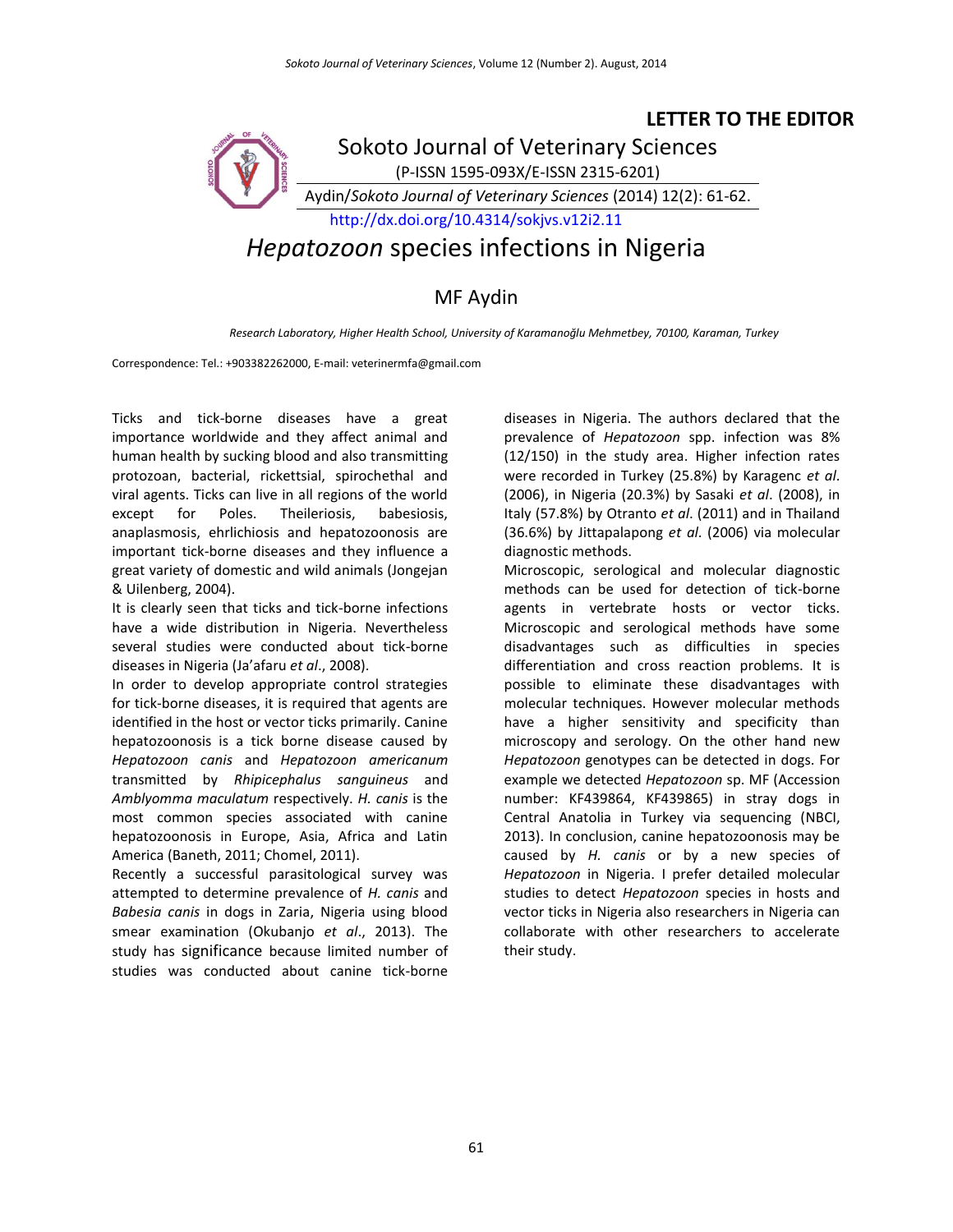## **LETTER TO THE EDITOR**



## MF Aydin

*Research Laboratory, Higher Health School, University of Karamanoğlu Mehmetbey, 70100, Karaman, Turkey*

Correspondence: Tel.: +903382262000, E-mail: veterinermfa@gmail.com

Ticks and tick-borne diseases have a great importance worldwide and they affect animal and human health by sucking blood and also transmitting protozoan, bacterial, rickettsial, spirochethal and viral agents. Ticks can live in all regions of the world except for Poles. Theileriosis, babesiosis, anaplasmosis, ehrlichiosis and hepatozoonosis are important tick-borne diseases and they influence a great variety of domestic and wild animals (Jongejan & Uilenberg, 2004).

It is clearly seen that ticks and tick-borne infections have a wide distribution in Nigeria. Nevertheless several studies were conducted about tick-borne diseases in Nigeria (Ja'afaru *et al*., 2008).

In order to develop appropriate control strategies for tick-borne diseases, it is required that agents are identified in the host or vector ticks primarily. Canine hepatozoonosis is a tick borne disease caused by *Hepatozoon canis* and *Hepatozoon americanum* transmitted by *Rhipicephalus sanguineus* and *Amblyomma maculatum* respectively. *H. canis* is the most common species associated with canine hepatozoonosis in Europe, Asia, Africa and Latin America (Baneth, 2011; Chomel, 2011).

Recently a successful parasitological survey was attempted to determine prevalence of *H. canis* and *Babesia canis* in dogs in Zaria, Nigeria using blood smear examination (Okubanjo *et al*., 2013). The study has significance because limited number of studies was conducted about canine tick-borne

diseases in Nigeria. The authors declared that the prevalence of *Hepatozoon* spp. infection was 8% (12/150) in the study area. Higher infection rates were recorded in Turkey (25.8%) by Karagenc *et al*. (2006), in Nigeria (20.3%) by Sasaki *et al*. (2008), in Italy (57.8%) by Otranto *et al*. (2011) and in Thailand (36.6%) by Jittapalapong *et al*. (2006) via molecular diagnostic methods.

Microscopic, serological and molecular diagnostic methods can be used for detection of tick-borne agents in vertebrate hosts or vector ticks. Microscopic and serological methods have some disadvantages such as difficulties in species differentiation and cross reaction problems. It is possible to eliminate these disadvantages with molecular techniques. However molecular methods have a higher sensitivity and specificity than microscopy and serology. On the other hand new *Hepatozoon* genotypes can be detected in dogs. For example we detected *Hepatozoon* sp. MF (Accession number: KF439864, KF439865) in stray dogs in Central Anatolia in Turkey via sequencing (NBCI, 2013). In conclusion, canine hepatozoonosis may be caused by *H. canis* or by a new species of *Hepatozoon* in Nigeria. I prefer detailed molecular studies to detect *Hepatozoon* species in hosts and vector ticks in Nigeria also researchers in Nigeria can collaborate with other researchers to accelerate their study.